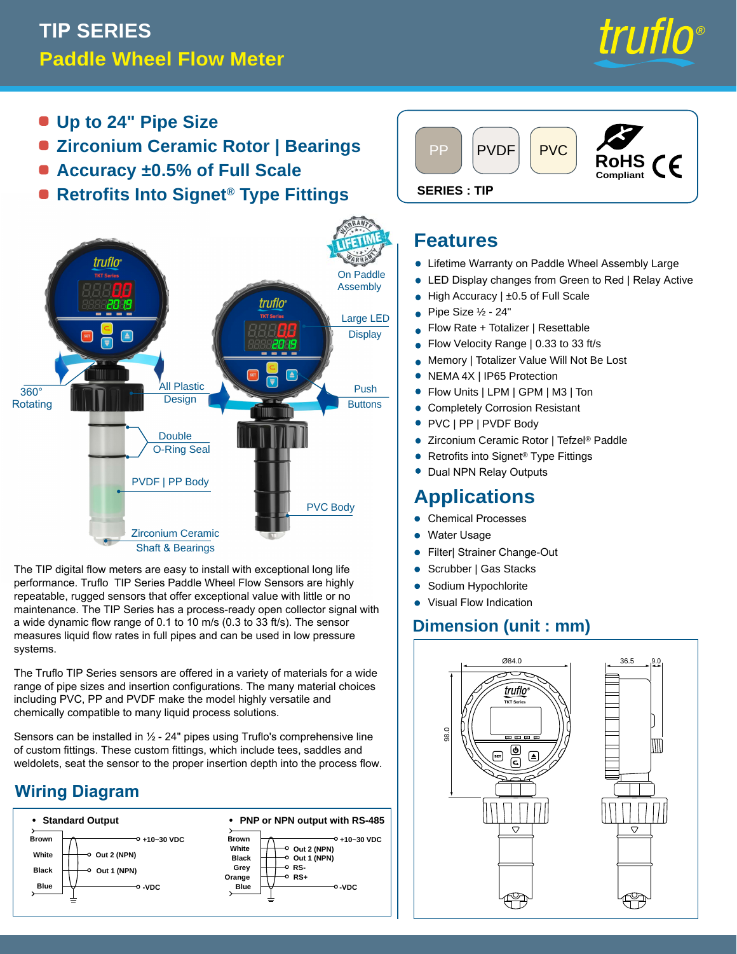# **TIP SERIES Paddle Wheel Flow Meter**



- **Up to 24" Pipe Size**
- **Zirconium Ceramic Rotor | Bearings**
- **Accuracy ±0.5% of Full Scale**
- **e** Retrofits Into Signet<sup>®</sup> Type Fittings SERIES: TIP



The TIP digital flow meters are easy to install with exceptional long life performance. Truflo TIP Series Paddle Wheel Flow Sensors are highly repeatable, rugged sensors that offer exceptional value with little or no maintenance. The TIP Series has a process-ready open collector signal with a wide dynamic flow range of 0.1 to 10 m/s (0.3 to 33 ft/s). The sensor measures liquid flow rates in full pipes and can be used in low pressure systems.

The Truflo TIP Series sensors are offered in a variety of materials for a wide range of pipe sizes and insertion configurations. The many material choices including PVC, PP and PVDF make the model highly versatile and chemically compatible to many liquid process solutions.

Sensors can be installed in  $\frac{1}{2}$  - 24" pipes using Truflo's comprehensive line of custom fittings. These custom fittings, which include tees, saddles and weldolets, seat the sensor to the proper insertion depth into the process flow.

### **Wiring Diagram**





#### **Features**

- **Lifetime Warranty on Paddle Wheel Assembly Large**
- LED Display changes from Green to Red | Relay Active •
- High Accuracy | ±0.5 of Full Scale •
- Pipe Size ½ 24" •
- Flow Rate + Totalizer | Resettable •
- Flow Velocity Range | 0.33 to 33 ft/s •
- Memory | Totalizer Value Will Not Be Lost •
- NEMA 4X | IP65 Protection •
- Flow Units | LPM | GPM | M3 | Ton
- Completely Corrosion Resistant •
- PVC | PP | PVDF Body
- Zirconium Ceramic Rotor | Tefzel® Paddle •
- Retrofits into Signet® Type Fittings •
- Dual NPN Relay Outputs

### **Applications**

- **Chemical Processes**
- Water Usage
- Filter| Strainer Change-Out
- Scrubber | Gas Stacks •
- Sodium Hypochlorite •
- Visual Flow Indication

#### **Dimension (unit : mm)**